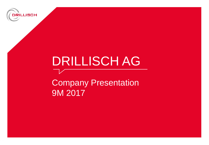

# DRILLISCH AG

Company Presentation 9M 2017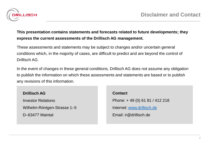

#### **This presentation contains statements and forecasts related to future developments; they express the current assessments of the Drillisch AG management.**

These assessments and statements may be subject to changes and/or uncertain general conditions which, in the majority of cases, are difficult to predict and are beyond the control of Drillisch AG.

In the event of changes in these general conditions, Drillisch AG does not assume any obligation to publish the information on which these assessments and statements are based or to publish any revisions of this information.

#### **Drillisch AG**

Investor Relations

Wilhelm-Röntgen-Strasse 1–5

D–63477 Maintal

**Contact** Phone: + 49 (0) 61 81 / 412 218 Internet: [www.drillisch.de](http://www.drillisch.de/) Email: ir@drillisch.de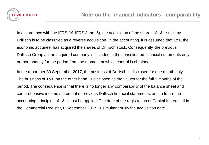

In accordance with the IFRS (cf. IFRS 3, no. 6), the acquisition of the shares of 1&1 stock by Drillisch is to be classified as a reverse acquisition. In the accounting, it is assumed that 1&1, the economic acquiree, has acquired the shares of Drillisch stock. Consequently, the previous Drillisch Group as the acquired company is included in the consolidated financial statements only proportionately for the period from the moment at which control is obtained.

In the report per 30 September 2017, the business of Drillisch is disclosed for one month only. The business of 1&1, on the other hand, is disclosed as the values for the full 9 months of the period. The consequence is that there is no longer any comparability of the balance sheet and comprehensive income statement of previous Drillisch financial statements, and in future the accounting principles of 1&1 must be applied. The date of the registration of Capital Increase II in the Commercial Register, 8 September 2017, is simultaneously the acquisition date.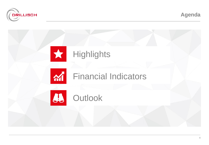

**Agenda**

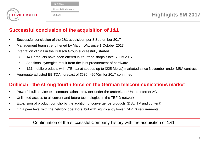

| <b>Highlights</b>           |  |
|-----------------------------|--|
| <b>Financial Indicators</b> |  |
| Outlook                     |  |

### **Successful conclusion of the acquisition of 1&1**

- Successful conclusion of the 1&1 acquisition per 8 September 2017
- Management team strengthened by Martin Witt since 1 October 2017
- Integration of 1&1 in the Drillisch Group successfully started
	- 1&1 products have been offered in Yourfone shops since 5 July 2017
	- Additional synergies result from the joint procurement of hardware
	- 1&1 mobile products with LTEmax at speeds up to (225 Mbit/s) marketed since November under MBA contract
- Aggregate adjusted EBITDA: forecast of €630m-€640m for 2017 confirmed

## **Drillisch - the strong fourth force on the German telecommunications market**

- Powerful full-service telecommunications provider under the umbrella of United Internet AG
- Unlimited access to all current and future technologies in the TEF D network
- Expansion of product portfolio by the addition of convergence products (DSL, TV and content)
- On a peer level with the network operators, but with significantly lower CAPEX requirements

#### Continuation of the successful Company history with the acquisition of 1&1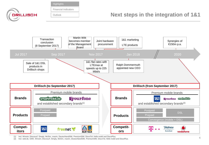**Highlights** 

Financial Indicators

**Outlook** 

**DRILLISCH** 

# **Next steps in the integration of 1&1**



(1) Incl. Winsim, Discosurf, Simply, McSim, maxim, DeutschlandSIM, PremiumSIM, DiscoTel, Hello mobil and DiscoPlus.

Incl. web.de, GMX, Winsim, Discosurf, Simply, McSim, maxim, DeutschlandSIM, PremiumSIM, DiscoTel, Hello mobil and DiscoPlus.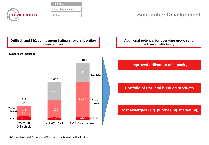**Highlights** 

Financial Indicators

**Outlook** 

**DRILLISCH** 

**Subscriber Development**



**Additional potential for operating growth and enhanced efficiency**

**Improved utilisation of capacity** 

**Portfolio of DSL and bundled products**

**Cost synergies (e.g. purchasing, marketing)**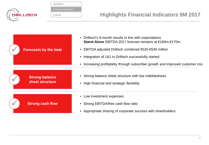

| Highlights                  |
|-----------------------------|
|                             |
| <b>Financial Indicators</b> |
|                             |
| Outlook                     |
|                             |

# **Highlights Financial Indicators 9M 2017**

| <b>Forecasts by the beat</b>             | Drillisch's 9-month results in line with expectations<br>$\bullet$<br>Stand-Alone EBITDA 2017 forecast remains at €160m-€170m<br>EBITDA adjusted Drillisch combined €520-€530 million<br>Integration of 1&1 in Drillisch successfully started<br>$\bullet$<br>Increasing profitability through subscriber growth and improved customer mix |
|------------------------------------------|--------------------------------------------------------------------------------------------------------------------------------------------------------------------------------------------------------------------------------------------------------------------------------------------------------------------------------------------|
| <b>Strong balance</b><br>sheet structure | Strong balance sheet structure with low indebtedness<br>High financial and strategic flexibility<br>$\bullet$                                                                                                                                                                                                                              |
| <b>Strong cash flow</b>                  | Low investment expenses<br>$\bullet$<br>Strong EBITDA/free cash flow ratio<br>Appropriate sharing of corporate success with shareholders<br>$\bullet$                                                                                                                                                                                      |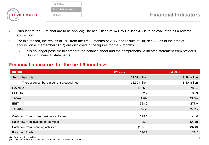|                  | Highlights                  |
|------------------|-----------------------------|
|                  | <b>Financial Indicators</b> |
| <b>DRILLISCH</b> | Outlook                     |
|                  |                             |

- Pursuant to the IFRS that are to be applied; The acquisition of 1&1 by Drillisch AG is to be evaluated as a reverse acquisition.
- For this reason, the results of 1&1 from the first 9 months of 2017 and results of Drillisch AG as of the time of acquisition (8 September 2017) are disclosed in the figures for the 9 months.
	- It is no longer possible to compare the balance sheet and the comprehensive income statement from previous Drillisch financial statements.

### **Financial indicators for the first 9 months1**

| $(in \oplus n)$                              | 9M 2017       | <b>9M 2016</b> |
|----------------------------------------------|---------------|----------------|
| Subscribers total                            | 13.02 million | 8,48 million   |
| Thereof subscribers in current product lines | 12.39 million | 8.30 million   |
| Revenue                                      | 1,965.2       | 1,788.4        |
| <b>EBITDA</b>                                | 352.7         | 282.9          |
| Margin                                       | 17.9%         | 15.8%          |
| <b>EBIT</b>                                  | 328.9         | 277.0          |
| Margin                                       | 16.7%         | 15.5%          |
| Cash flow from current business activities   | 299.5         | 44.0           |
| Cash flow from investment activities         | 25.2          | (22.8)         |
| Cash flow from financing activities          | (185.9)       | (37.8)         |
| Free cash flow $(2)$                         | 290.9         | 21.2           |

(1) From ongoing activities

(2) Definition of FCF: cash flow from current business activities less CAPEX.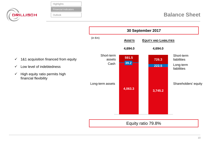| DRILLISCH                                                               | Highlights<br><b>Financial Indicators</b><br>Outlook |                              |                                                |                | <b>Balance Sheet</b>                   |
|-------------------------------------------------------------------------|------------------------------------------------------|------------------------------|------------------------------------------------|----------------|----------------------------------------|
|                                                                         |                                                      |                              | 30 September 2017                              |                |                                        |
|                                                                         |                                                      | $(in \infty)$                | <b>EQUITY AND LIABILITIES</b><br><b>ASSETS</b> |                |                                        |
|                                                                         |                                                      |                              | 4,694.0                                        | 4,694.0        |                                        |
| $\checkmark$<br>Low level of indebtedness<br>✓                          | 1&1 acquisition financed from equity                 | Short-term<br>assets<br>Cash | 591.5<br>$\vert$ 39.2 $\vert$                  | 726.3<br>222.5 | Short-term<br>liabilities<br>Long-term |
| High equity ratio permits high<br>$\checkmark$<br>financial flexibility |                                                      |                              |                                                |                | liabilities<br>Shareholders' equity    |
|                                                                         |                                                      | Long-term assets             | 4,063.3                                        | 3,745.2        |                                        |

Equity ratio 79.8%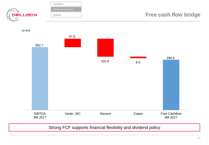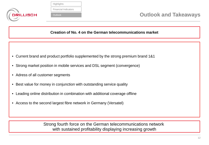

| Highlights                  |
|-----------------------------|
|                             |
| <b>Financial Indicators</b> |
|                             |
| Outlook                     |
|                             |

**Creation of No. 4 on the German telecommunications market**

- Current brand and product portfolio supplemented by the strong premium brand 1&1
- Strong market position in mobile services and DSL segment (convergence)
- Adress of all customer segments
- Best value for money in conjunction with outstanding service quality
- Leading online distribution in combination with additional coverage offline
- Access to the second largest fibre network in Germany (Versatel)

Strong fourth force on the German telecommunications network with sustained profitability displaying increasing growth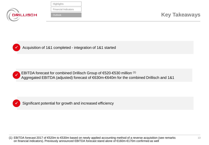

| Highlights                  |
|-----------------------------|
|                             |
| <b>Financial Indicators</b> |
|                             |
| Outlook                     |
|                             |



Acquisition of 1&1 completed - integration of 1&1 started



EBITDA forecast for combined Drillisch Group of €520-€530 million (1) Aggregated EBITDA (adjusted) forecast of €630m-€640m for the combined Drillisch and 1&1



Significant potential for growth and increased efficiency